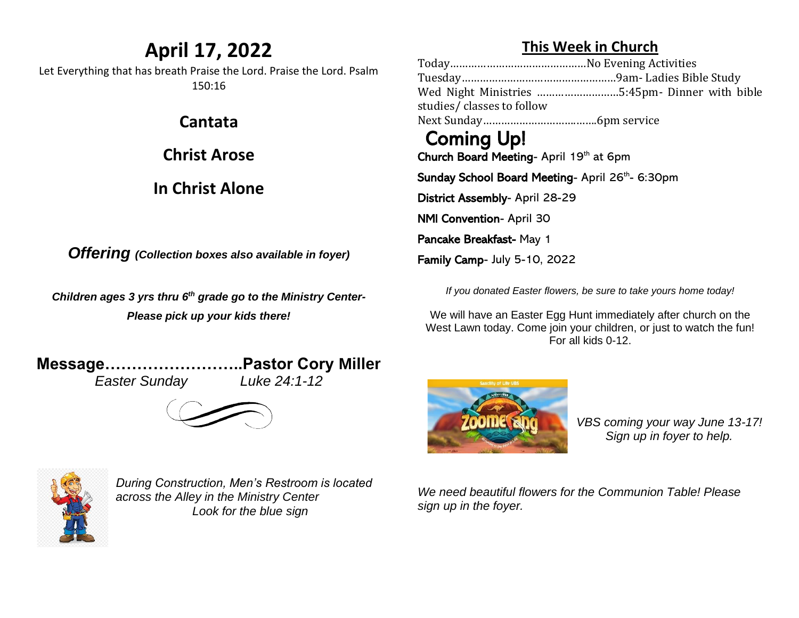## **April 17, 2022**

Let Everything that has breath Praise the Lord. Praise the Lord. Psalm 150:16

**Cantata**

**Christ Arose**

#### **In Christ Alone**

*Offering (Collection boxes also available in foyer)*

*Children ages 3 yrs thru 6 th grade go to the Ministry Center-Please pick up your kids there!*

**Message……………………..Pastor Cory Miller** *Easter Sunday Luke 24:1-12*



*During Construction, Men's Restroom is located across the Alley in the Ministry Center Look for the blue sign*

#### **This Week in Church**

Today………………………………………No Evening Activities Tuesday……………………………………………9am- Ladies Bible Study Wed Night Ministries ………………………5:45pm- Dinner with bible studies/ classes to follow Next Sunday………………………….…….6pm service Coming Up!

Church Board Meeting- April 19th at 6pm

Sunday School Board Meeting- April 26<sup>th</sup>- 6:30pm

District Assembly- April 28-29

NMI Convention- April 30

Pancake Breakfast- May 1

Family Camp- July 5-10, 2022

*If you donated Easter flowers, be sure to take yours home today!*

We will have an Easter Egg Hunt immediately after church on the West Lawn today. Come join your children, or just to watch the fun! For all kids 0-12.



*VBS coming your way June 13-17! Sign up in foyer to help.* 

*We need beautiful flowers for the Communion Table! Please sign up in the foyer.*